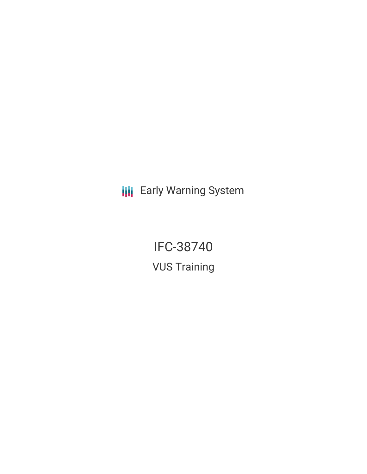**III** Early Warning System

IFC-38740 VUS Training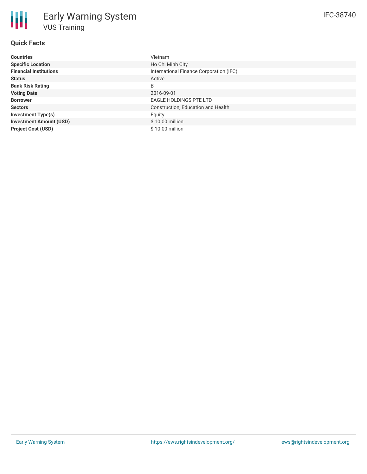## **Quick Facts**

| <b>Countries</b>               | <b>Vietnam</b>                          |
|--------------------------------|-----------------------------------------|
| <b>Specific Location</b>       | Ho Chi Minh City                        |
| <b>Financial Institutions</b>  | International Finance Corporation (IFC) |
| <b>Status</b>                  | Active                                  |
| <b>Bank Risk Rating</b>        | B                                       |
| <b>Voting Date</b>             | 2016-09-01                              |
| <b>Borrower</b>                | <b>EAGLE HOLDINGS PTE LTD</b>           |
| <b>Sectors</b>                 | Construction, Education and Health      |
| <b>Investment Type(s)</b>      | Equity                                  |
| <b>Investment Amount (USD)</b> | $$10.00$ million                        |
| <b>Project Cost (USD)</b>      | $$10.00$ million                        |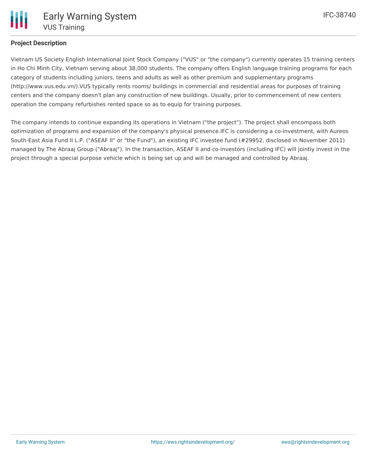# **Project Description**

Vietnam US Society English International Joint Stock Company ("VUS" or "the company") currently operates 15 training centers in Ho Chi Minh City, Vietnam serving about 38,000 students. The company offers English language training programs for each category of students including juniors, teens and adults as well as other premium and supplementary programs (http://www.vus.edu.vn/).VUS typically rents rooms/ buildings in commercial and residential areas for purposes of training centers and the company doesn't plan any construction of new buildings. Usually, prior to commencement of new centers operation the company refurbishes rented space so as to equip for training purposes.

The company intends to continue expanding its operations in Vietnam ("the project"). The project shall encompass both optimization of programs and expansion of the company's physical presence.IFC is considering a co-investment, with Aureos South-East Asia Fund II L.P. ("ASEAF II" or "the Fund"), an existing IFC investee fund (#29952, disclosed in November 2011) managed by The Abraaj Group ("Abraaj"). In the transaction, ASEAF II and co-investors (including IFC) will jointly invest in the project through a special purpose vehicle which is being set up and will be managed and controlled by Abraaj.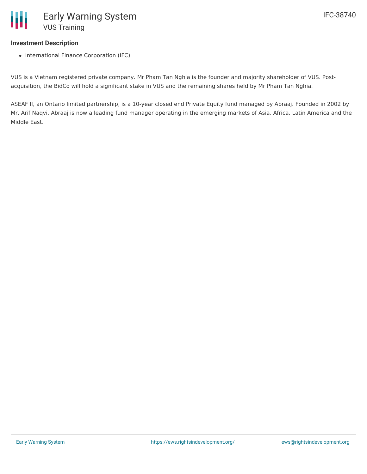### **Investment Description**

• International Finance Corporation (IFC)

VUS is a Vietnam registered private company. Mr Pham Tan Nghia is the founder and majority shareholder of VUS. Postacquisition, the BidCo will hold a significant stake in VUS and the remaining shares held by Mr Pham Tan Nghia.

ASEAF II, an Ontario limited partnership, is a 10-year closed end Private Equity fund managed by Abraaj. Founded in 2002 by Mr. Arif Naqvi, Abraaj is now a leading fund manager operating in the emerging markets of Asia, Africa, Latin America and the Middle East.